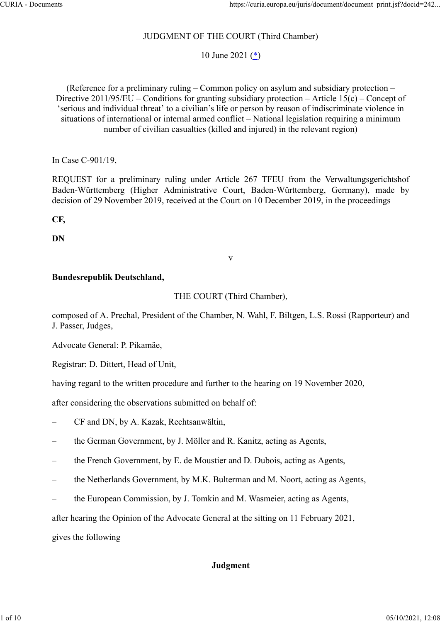# JUDGMENT OF THE COURT (Third Chamber)

10 June 2021 (\*)

(Reference for a preliminary ruling – Common policy on asylum and subsidiary protection – Directive 2011/95/EU – Conditions for granting subsidiary protection – Article 15(c) – Concept of 'serious and individual threat' to a civilian's life or person by reason of indiscriminate violence in situations of international or internal armed conflict – National legislation requiring a minimum number of civilian casualties (killed and injured) in the relevant region) https://curia.europa.eu/juris/document/document\_print.js/?docid=242...<br>
IUDGMENT OF THE COURT (Third Chamber)<br>
10 June 2021 (\*)<br>
(Reference for a preliminary ruling Common policy on asylum and subsidiary protection –<br>Direc https://curia.europa.eu/juris/document/document\_print.jsf?/docid=242...<br>
JUDGMENT OF THE COURT (Third Chamber)<br>
10 June 2021 (\*)<br>
(Reference for a preliminary ruling – Common policy on asylum and subsidiary protection –<br>
D

In Case C‑901/19,

decision of 29 November 2019, received at the Court on 10 December 2019, in the proceedings

CF,

DN

### Bundesrepublik Deutschland,

### THE COURT (Third Chamber),

v

composed of A. Prechal, President of the Chamber, N. Wahl, F. Biltgen, L.S. Rossi (Rapporteur) and J. Passer, Judges,

Advocate General: P. Pikamäe,

Registrar: D. Dittert, Head of Unit,

having regard to the written procedure and further to the hearing on 19 November 2020,

after considering the observations submitted on behalf of:

– CF and DN, by A. Kazak, Rechtsanwältin,

– the German Government, by J. Möller and R. Kanitz, acting as Agents,

- the French Government, by E. de Moustier and D. Dubois, acting as Agents,
- the Netherlands Government, by M.K. Bulterman and M. Noort, acting as Agents,
- the European Commission, by J. Tomkin and M. Wasmeier, acting as Agents,

after hearing the Opinion of the Advocate General at the sitting on 11 February 2021,

gives the following

## Judgment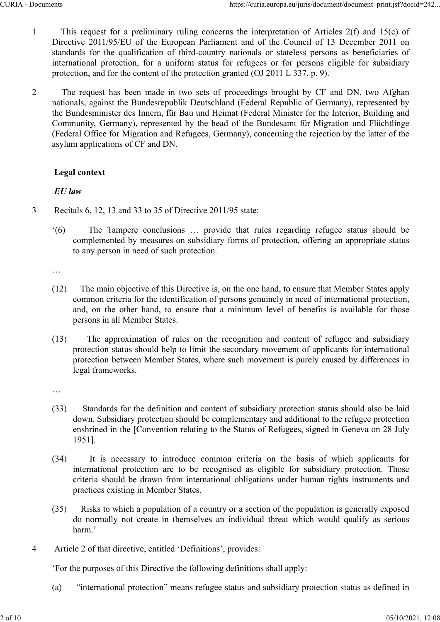- 1 This request for a preliminary ruling concerns the interpretation of Articles 2(f) and 15(c) of Directive 2011/95/EU of the European Parliament and of the Council of 13 December 2011 on standards for the qualification of third-country nationals or stateless persons as beneficiaries of international protection, for a uniform status for refugees or for persons eligible for subsidiary protection, and for the content of the protection granted (OJ 2011 L 337, p. 9).
- 2 The request has been made in two sets of proceedings brought by CF and DN, two Afghan nationals, against the Bundesrepublik Deutschland (Federal Republic of Germany), represented by the Bundesminister des Innern, für Bau und Heimat (Federal Minister for the Interior, Building and Community, Germany), represented by the head of the Bundesamt für Migration und Flüchtlinge (Federal Office for Migration and Refugees, Germany), concerning the rejection by the latter of the asylum applications of CF and DN. Directive 2011/95/EU of the European Parliament and of the Council of 13 December 2011 on<br>standards for the qualification of third-country nationals or stateless persons as beneficiations of<br>international protection, for

# Legal context

# EU law

- 3 Recitals 6, 12, 13 and 33 to 35 of Directive 2011/95 state:
	- complemented by measures on subsidiary forms of protection, offering an appropriate status to any person in need of such protection.

…

- (12) The main objective of this Directive is, on the one hand, to ensure that Member States apply common criteria for the identification of persons genuinely in need of international protection, and, on the other hand, to ensure that a minimum level of benefits is available for those persons in all Member States.
- (13) The approximation of rules on the recognition and content of refugee and subsidiary protection status should help to limit the secondary movement of applicants for international protection between Member States, where such movement is purely caused by differences in legal frameworks. (12) The main objective of this Directive is, on the one hand, to ensure that Member States apply<br>
common criteria for the identification of persons genuinely in need of international protection,<br>
and, on the other hand, The main objective of this Directive is, on the one hand, to ensure that Member States apply<br>common criteria for the identification of persons genuinely in need of international protection,<br>and, on the other hand, to ensur

…

- (33) Standards for the definition and content of subsidiary protection status should also be laid down. Subsidiary protection should be complementary and additional to the refugee protection enshrined in the [Convention relating to the Status of Refugees, signed in Geneva on 28 July 1951].
- criteria should be drawn from international obligations under human rights instruments and practices existing in Member States.
- (35) Risks to which a population of a country or a section of the population is generally exposed do normally not create in themselves an individual threat which would qualify as serious harm.'
- 4 Article 2 of that directive, entitled 'Definitions', provides:

'For the purposes of this Directive the following definitions shall apply:

(a) "international protection" means refugee status and subsidiary protection status as defined in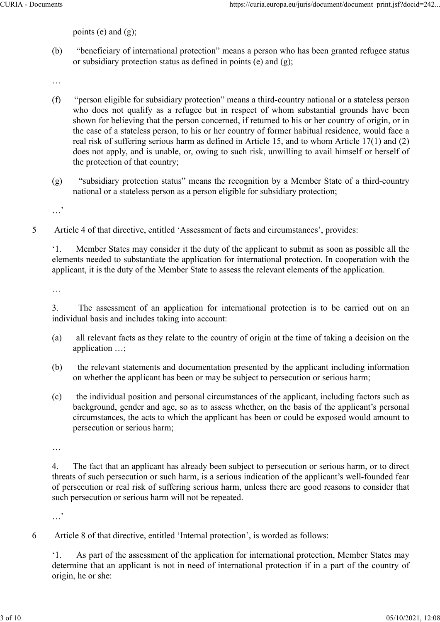points (e) and (g);

(b) "beneficiary of international protection" means a person who has been granted refugee status or subsidiary protection status as defined in points  $(e)$  and  $(g)$ ;

…

- (f) "person eligible for subsidiary protection" means a third-country national or a stateless person who does not qualify as a refugee but in respect of whom substantial grounds have been shown for believing that the person concerned, if returned to his or her country of origin, or in the case of a stateless person, to his or her country of former habitual residence, would face a real risk of suffering serious harm as defined in Article 15, and to whom Article 17(1) and (2) does not apply, and is unable, or, owing to such risk, unwilling to avail himself or herself of the protection of that country;
- (g) "subsidiary protection status" means the recognition by a Member State of a third-country national or a stateless person as a person eligible for subsidiary protection;

…'

5 Article 4 of that directive, entitled 'Assessment of facts and circumstances', provides:

'1. Member States may consider it the duty of the applicant to submit as soon as possible all the elements needed to substantiate the application for international protection. In cooperation with the applicant, it is the duty of the Member State to assess the relevant elements of the application.

…

3. The assessment of an application for international protection is to be carried out on an individual basis and includes taking into account:

- (a) all relevant facts as they relate to the country of origin at the time of taking a decision on the application …;
- (b) the relevant statements and documentation presented by the applicant including information on whether the applicant has been or may be subject to persecution or serious harm;
- (c) the individual position and personal circumstances of the applicant, including factors such as background, gender and age, so as to assess whether, on the basis of the applicant's personal circumstances, the acts to which the applicant has been or could be exposed would amount to persecution or serious harm;

…

4. The fact that an applicant has already been subject to persecution or serious harm, or to direct threats of such persecution or such harm, is a serious indication of the applicant's well-founded fear of persecution or real risk of suffering serious harm, unless there are good reasons to consider that such persecution or serious harm will not be repeated.

…'

6 Article 8 of that directive, entitled 'Internal protection', is worded as follows:

'1. As part of the assessment of the application for international protection, Member States may determine that an applicant is not in need of international protection if in a part of the country of origin, he or she: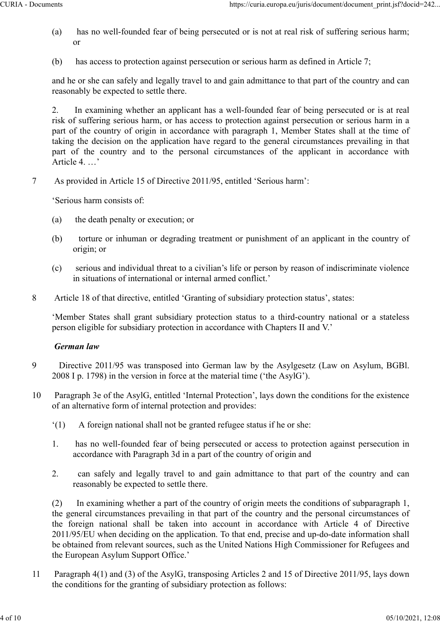- (a) has no well-founded fear of being persecuted or is not at real risk of suffering serious harm; or
- (b) has access to protection against persecution or serious harm as defined in Article 7;

and he or she can safely and legally travel to and gain admittance to that part of the country and can reasonably be expected to settle there.

2. In examining whether an applicant has a well-founded fear of being persecuted or is at real risk of suffering serious harm, or has access to protection against persecution or serious harm in a part of the country of origin in accordance with paragraph 1, Member States shall at the time of taking the decision on the application have regard to the general circumstances prevailing in that https://curia.europa.eu/juris/document/document\_print.jsf?docid=242...<br>
(a) has access to protection against persecuted or is not at real risk of suffering serious harm;<br>
or<br>
(b) has access to protection against persecutio Article 4. …'

7 As provided in Article 15 of Directive 2011/95, entitled 'Serious harm':

'Serious harm consists of:

- (a) the death penalty or execution; or
- (b) torture or inhuman or degrading treatment or punishment of an applicant in the country of origin; or
- (c) serious and individual threat to a civilian's life or person by reason of indiscriminate violence in situations of international or internal armed conflict.'
- 8 Article 18 of that directive, entitled 'Granting of subsidiary protection status', states:

'Member States shall grant subsidiary protection status to a third-country national or a stateless person eligible for subsidiary protection in accordance with Chapters II and V.'

# German law

- 9 Directive 2011/95 was transposed into German law by the Asylgesetz (Law on Asylum, BGBl. 2008 I p. 1798) in the version in force at the material time ('the AsylG').
- 10 Paragraph 3e of the AsylG, entitled 'Internal Protection', lays down the conditions for the existence of an alternative form of internal protection and provides:
	- '(1) A foreign national shall not be granted refugee status if he or she:
	- 1. has no well-founded fear of being persecuted or access to protection against persecution in accordance with Paragraph 3d in a part of the country of origin and
	- 2. can safely and legally travel to and gain admittance to that part of the country and can reasonably be expected to settle there.

(2) In examining whether a part of the country of origin meets the conditions of subparagraph 1, the general circumstances prevailing in that part of the country and the personal circumstances of **German law**<br>
Directive 2011/95 was transposed into German law by the Asylgesetz (Law on Asylum, BGBI.<br>
2008 I p. 1798) in the version in force at the material time ('the AsylG').<br>
Paragraph 3e of the AsylG, entitled 'Int 2011/95/EU when deciding on the application. To that end, precise and up-do-date information shall be obtained from relevant sources, such as the United Nations High Commissioner for Refugees and the European Asylum Support Office.'

11 Paragraph 4(1) and (3) of the AsylG, transposing Articles 2 and 15 of Directive 2011/95, lays down the conditions for the granting of subsidiary protection as follows: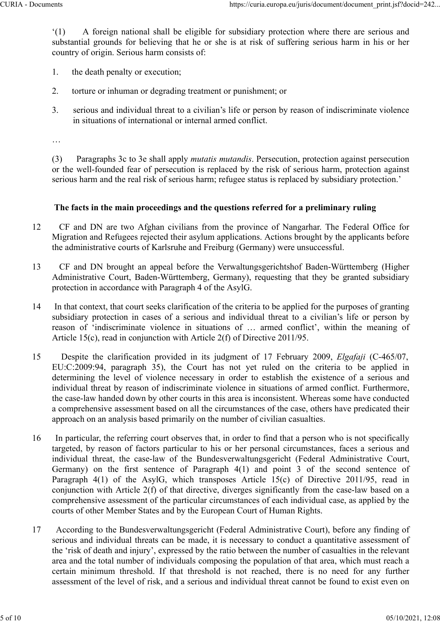'(1) A foreign national shall be eligible for subsidiary protection where there are serious and substantial grounds for believing that he or she is at risk of suffering serious harm in his or her country of origin. Serious harm consists of:

- 1. the death penalty or execution;
- 2. torture or inhuman or degrading treatment or punishment; or
- 3. serious and individual threat to a civilian's life or person by reason of indiscriminate violence in situations of international or internal armed conflict.

…

(3) Paragraphs 3c to 3e shall apply mutatis mutandis. Persecution, protection against persecution or the well-founded fear of persecution is replaced by the risk of serious harm, protection against serious harm and the real risk of serious harm; refugee status is replaced by subsidiary protection.'

### The facts in the main proceedings and the questions referred for a preliminary ruling

- 12 CF and DN are two Afghan civilians from the province of Nangarhar. The Federal Office for Migration and Refugees rejected their asylum applications. Actions brought by the applicants before the administrative courts of Karlsruhe and Freiburg (Germany) were unsuccessful.
- 13 CF and DN brought an appeal before the Verwaltungsgerichtshof Baden-Württemberg (Higher Administrative Court, Baden-Württemberg, Germany), requesting that they be granted subsidiary protection in accordance with Paragraph 4 of the AsylG.
- 14 In that context, that court seeks clarification of the criteria to be applied for the purposes of granting subsidiary protection in cases of a serious and individual threat to a civilian's life or person by Fraction in a containting the school of the reason of the control of the control of the solution of the vell-founded fear of persecution is replaced by the risk of serious harm, protection against<br>verious harm and the rea Article 15(c), read in conjunction with Article 2(f) of Directive 2011/95.
- 15 Despite the clarification provided in its judgment of 17 February 2009, Elgafaji (C-465/07, serious harm and the real risk of serious harm; refugee status is replaced by subsidiary protection.'<br>
The facts in the main proceedings and the questions referred for a preliminary ruling<br>
CF and DN are two Afghan civilia determining the level of violence necessary in order to establish the existence of a serious and individual threat by reason of indiscriminate violence in situations of armed conflict. Furthermore, the case-law handed down by other courts in this area is inconsistent. Whereas some have conducted a comprehensive assessment based on all the circumstances of the case, others have predicated their approach on an analysis based primarily on the number of civilian casualties.
- 16 In particular, the referring court observes that, in order to find that a person who is not specifically targeted, by reason of factors particular to his or her personal circumstances, faces a serious and For ant Dividual threat determining equilibution is a computed by the case-law base-law base-law base-law of the Bundesverwaltune of the AsylC.<br>In that context, that court seeks clarification of the criteria to be applied External states of the constant in the first sentence of paragraph 4(1) and point and the first sentence of "indiscrimination" in coordinate with Paragraph 4 of the daylG.<br>
In that context, that court seeks clarification o protection in accordance win r anguapin 4 of the risepto.<br>
In that contest, that court seeks clarification of the criteria endows of the series and solidiary protection in cases of a serious and individual threat to a civ conjunction with Article 2(f) of that directive, diverges significantly from the case-law based on a comprehensive assessment of the particular circumstances of each individual case, as applied by the courts of other Member States and by the European Court of Human Rights. certaining so the Northolte of the case law bases and the case and the case law hand down by the case law handed down by the routis in this area is inconsistent. Whereas some have conducted the case-law handed down by othe
- 17 According to the Bundesverwaltungsgericht (Federal Administrative Court), before any finding of serious and individual threats can be made, it is necessary to conduct a quantitative assessment of the 'risk of death and injury', expressed by the ratio between the number of casualties in the relevant area and the total number of individuals composing the population of that area, which must reach a assessment of the level of risk, and a serious and individual threat cannot be found to exist even on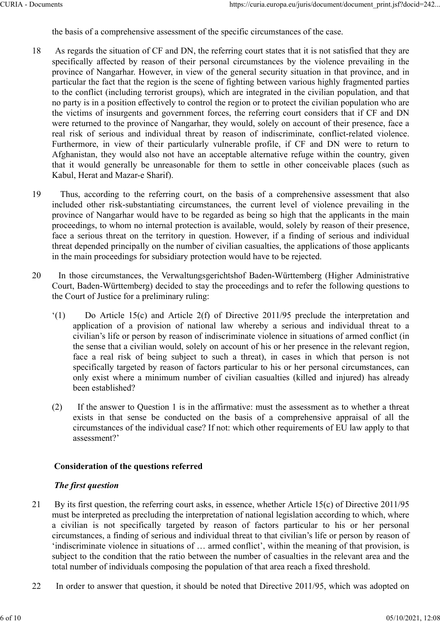the basis of a comprehensive assessment of the specific circumstances of the case.

- 18 As regards the situation of CF and DN, the referring court states that it is not satisfied that they are specifically affected by reason of their personal circumstances by the violence prevailing in the province of Nangarhar. However, in view of the general security situation in that province, and in particular the fact that the region is the scene of fighting between various highly fragmented parties to the conflict (including terrorist groups), which are integrated in the civilian population, and that no party is in a position effectively to control the region or to protect the civilian population who are the victims of insurgents and government forces, the referring court considers that if CF and DN were returned to the province of Nangarhar, they would, solely on account of their presence, face a real risk of serious and individual threat by reason of indiscriminate, conflict-related violence. https://euria.europa.eu/junis/document/document\_print.jsf?docid=242...<br>the basis of a comprehensive assessment of the specific circumstances of the case.<br>As regards the situation of CF and DN, the referring court states th Afghanistan, they would also not have an acceptable alternative refuge within the country, given that it would generally be unreasonable for them to settle in other conceivable places (such as Kabul, Herat and Mazar-e Sharif).
- 19 Thus, according to the referring court, on the basis of a comprehensive assessment that also included other risk-substantiating circumstances, the current level of violence prevailing in the province of Nangarhar would have to be regarded as being so high that the applicants in the main proceedings, to whom no internal protection is available, would, solely by reason of their presence, face a serious threat on the territory in question. However, if a finding of serious and individual threat depended principally on the number of civilian casualties, the applications of those applicants in the main proceedings for subsidiary protection would have to be rejected. as or serious and nutwoutar unear oy reassor on mats mimmate, connuct-entant voluces are or term to mistan, they would also not have an acceptable profile, if CF and DN were to return to instan, they would also not have an
- 20 In those circumstances, the Verwaltungsgerichtshof Baden-Württemberg (Higher Administrative Court, Baden-Württemberg) decided to stay the proceedings and to refer the following questions to the Court of Justice for a preliminary ruling:
- '(1) Do Article 15(c) and Article 2(f) of Directive 2011/95 preclude the interpretation and civilian's life or person by reason of indiscriminate violence in situations of armed conflict (in the sense that a civilian would, solely on account of his or her presence in the relevant region, face a real risk of being subject to such a threat), in cases in which that person is not specifically targeted by reason of factors particular to his or her personal circumstances, can only exist where a minimum number of civilian casualties (killed and injured) has already been established? exists in that mean protection is available, wouth our presence, the sense of a compression of the presentation is error to the present on the territory in question. However, if a finding of serious and individual depended
	- (2) If the answer to Question 1 is in the affirmative: must the assessment as to whether a threat circumstances of the individual case? If not: which other requirements of EU law apply to that assessment?'

## Consideration of the questions referred

## The first question

- 21 By its first question, the referring court asks, in essence, whether Article 15(c) of Directive 2011/95 must be interpreted as precluding the interpretation of national legislation according to which, where civilian's life or person by reason of indiscriminate violence in situations of armed conflict (in<br>the sense that a civilian would, solely on account of his or her presence in the relevant region,<br>face a real risk of bein circumstances, a finding of serious and individual threat to that civilian's life or person by reason of 'indiscriminate violence in situations of … armed conflict', within the meaning of that provision, is subject to the condition that the ratio between the number of casualties in the relevant area and the total number of individuals composing the population of that area reach a fixed threshold.
- 22 In order to answer that question, it should be noted that Directive 2011/95, which was adopted on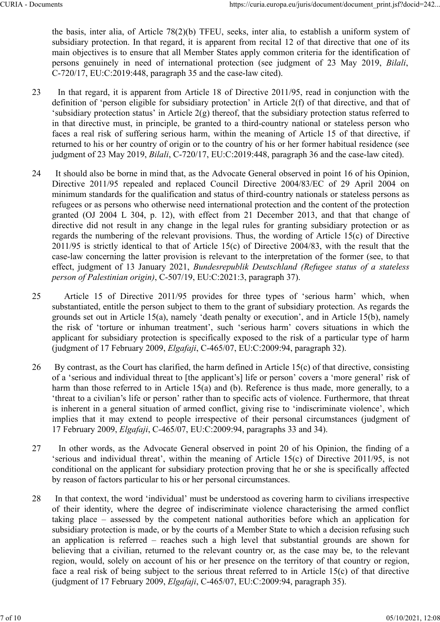the basis, inter alia, of Article 78(2)(b) TFEU, seeks, inter alia, to establish a uniform system of subsidiary protection. In that regard, it is apparent from recital 12 of that directive that one of its main objectives is to ensure that all Member States apply common criteria for the identification of https://curia.europa.eu/juris/document/document\_print.jsf?docid=242...<br>
the basis, inter alia, of Article 78(2)(b) TFEU, seeks, inter alia, to establish a uniform system of<br>
subsidiary protection. In that regard, it is app

- 23 In that regard, it is apparent from Article 18 of Directive 2011/95, read in conjunction with the definition of 'person eligible for subsidiary protection' in Article 2(f) of that directive, and that of 'subsidiary protection status' in Article 2(g) thereof, that the subsidiary protection status referred to in that directive must, in principle, be granted to a third-country national or stateless person who faces a real risk of suffering serious harm, within the meaning of Article 15 of that directive, if returned to his or her country of origin or to the country of his or her former habitual residence (see judgment of 23 May 2019, Bilali, C-720/17, EU:C:2019:448, paragraph 36 and the case-law cited). https://curia.europa.eu/juris/document/document/minis/f/docid=242...<br>the basis, inter alia, of Article 78(2)(b) TFEU, seeks, inter alia, to establish a uniform system of<br>subsidiary protection. In that regard, it is apparen
- 24 It should also be borne in mind that, as the Advocate General observed in point 16 of his Opinion, minimum standards for the qualification and status of third-country nationals or stateless persons as refugees or as persons who otherwise need international protection and the content of the protection granted (OJ 2004 L 304, p. 12), with effect from 21 December 2013, and that that change of directive did not result in any change in the legal rules for granting subsidiary protection or as regards the numbering of the relevant provisions. Thus, the wording of Article 15(c) of Directive 2011/95 is strictly identical to that of Article 15(c) of Directive 2004/83, with the result that the case-law concerning the latter provision is relevant to the interpretation of the former (see, to that effect, judgment of 13 January 2021, Bundesrepublik Deutschland (Refugee status of a stateless person of Palestinian origin), C-507/19, EU:C:2021:3, paragraph 37). 25 Article 15 of the minimum standary protection status in Article 2(g) thereof, that the subsidiary protection status referred to<br>
in that directive must; in principle, be granted to a third-country ational or stateles p
- substantiated, entitle the person subject to them to the grant of subsidiary protection. As regards the grounds set out in Article 15(a), namely 'death penalty or execution', and in Article 15(b), namely the risk of 'torture or inhuman treatment', such 'serious harm' covers situations in which the applicant for subsidiary protection is specifically exposed to the risk of a particular type of harm (judgment of 17 February 2009, Elgafaji, C‑465/07, EU:C:2009:94, paragraph 32).
- 26 By contrast, as the Court has clarified, the harm defined in Article 15(c) of that directive, consisting of a 'serious and individual threat to [the applicant's] life or person' covers a 'more general' risk of harm than those referred to in Article 15(a) and (b). Reference is thus made, more generally, to a 'threat to a civilian's life or person' rather than to specific acts of violence. Furthermore, that threat is inherent in a general situation of armed conflict, giving rise to 'indiscriminate violence', which implies that it may extend to people irrespective of their personal circumstances (judgment of 17 February 2009, Elgafaji, C‑465/07, EU:C:2009:94, paragraphs 33 and 34).
- 27 In other words, as the Advocate General observed in point 20 of his Opinion, the finding of a 'serious and individual threat', within the meaning of Article 15(c) of Directive 2011/95, is not conditional on the applicant for subsidiary protection proving that he or she is specifically affected by reason of factors particular to his or her personal circumstances.
- 28 In that context, the word 'individual' must be understood as covering harm to civilians irrespective of their identity, where the degree of indiscriminate violence characterising the armed conflict the risk of control of mindimal celumical enterption is predicted by ending the risk of a particular type of harm<br>
applicant for subsidiary protection is specifically exposed to the risk of a particular type of harm<br>
(judg subsidiary protection is made, or by the courts of a Member State to which a decision refusing such (Joughten of 17 February 2009, *Engligy*, C-405907, *EOC-20097*9, *Aaggapu 22)*.<br>By contrast, as the Court has charified, the harm defined in Article 15(c) of that directive, consisting<br>of a 'serious and individual threat believing that a civilian, returned to the relevant country or, as the case may be, to the relevant region, would, solely on account of his or her presence on the territory of that country or region, face a real risk of being subject to the serious threat referred to in Article 15(c) of that directive (judgment of 17 February 2009, Elgafaji, C‑465/07, EU:C:2009:94, paragraph 35).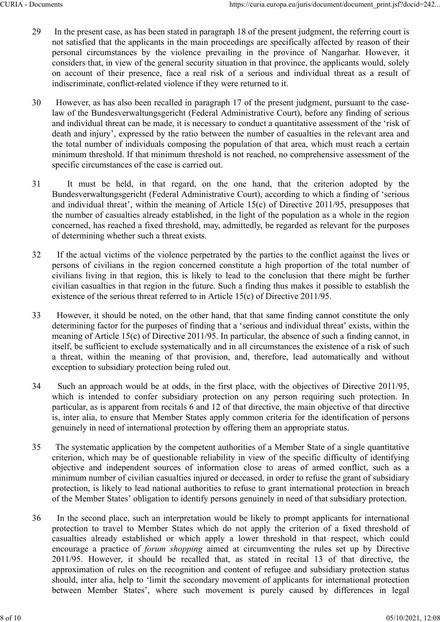- 29 In the present case, as has been stated in paragraph 18 of the present judgment, the referring court is not satisfied that the applicants in the main proceedings are specifically affected by reason of their https://curia.europa.eu/juris/document/document\_print.jsf?docid=242...<br>In the present case, as has been stated in paragraph 18 of the present judgment, the referring court is<br>not satisfied that the applicants in the main p considers that, in view of the general security situation in that province, the applicants would, solely on account of their presence, face a real risk of a serious and individual threat as a result of indiscriminate, conflict-related violence if they were returned to it.
- 30 However, as has also been recalled in paragraph 17 of the present judgment, pursuant to the caselaw of the Bundesverwaltungsgericht (Federal Administrative Court), before any finding of serious and individual threat can be made, it is necessary to conduct a quantitative assessment of the 'risk of death and injury', expressed by the ratio between the number of casualties in the relevant area and the total number of individuals composing the population of that area, which must reach a certain minimum threshold. If that minimum threshold is not reached, no comprehensive assessment of the specific circumstances of the case is carried out. 32 In the present case, as has been stated in paragraph 18 of the present judgment, the referring court is<br>not satisfied that the applicants in the main proceedings are specifically affected by reason of their<br>personal cir
- Bundesverwaltungsgericht (Federal Administrative Court), according to which a finding of 'serious and individual threat', within the meaning of Article 15(c) of Directive 2011/95, presupposes that the number of casualties already established, in the light of the population as a whole in the region concerned, has reached a fixed threshold, may, admittedly, be regarded as relevant for the purposes of determining whether such a threat exists. become crounstances or the case is carried ont<br>
It must be held, in that regard, on the one hand, that the criterion adopted by the<br>
Hundesverwaltungsgericht (Federal Administrative Court), according to which a finding of
- 32 If the actual victims of the violence perpetrated by the parties to the conflict against the lives or persons of civilians in the region concerned constitute a high proportion of the total number of civilians living in that region, this is likely to lead to the conclusion that there might be further civilian casualties in that region in the future. Such a finding thus makes it possible to establish the existence of the serious threat referred to in Article 15(c) of Directive 2011/95.
- 33 However, it should be noted, on the other hand, that that same finding cannot constitute the only determining factor for the purposes of finding that a 'serious and individual threat' exists, within the meaning of Article 15(c) of Directive 2011/95. In particular, the absence of such a finding cannot, in itself, be sufficient to exclude systematically and in all circumstances the existence of a risk of such exception to subsidiary protection being ruled out. and maryoutal unter in emeaning of Article 19(b) of Directive 2011/95, pressipposes hare<br>and maryoutal unter interesting whether that exists.<br>
the number of easualties already established, may, admittedly, be regarded as r
- 34 Such an approach would be at odds, in the first place, with the objectives of Directive 2011/95, particular, as is apparent from recitals 6 and 12 of that directive, the main objective of that directive is, inter alia, to ensure that Member States apply common criteria for the identification of persons genuinely in need of international protection by offering them an appropriate status.
- 35 The systematic application by the competent authorities of a Member State of a single quantitative criterion, which may be of questionable reliability in view of the specific difficulty of identifying communis normal meant region, thus is neter to react the user to relate the might of the Membershine contributed in the control of the series of the series of the series of the series of the series to extid it the existenc minimum number of civilian casualties injured or deceased, in order to refuse the grant of subsidiary protection, is likely to lead national authorities to refuse to grant international protection in breach of the Member States' obligation to identify persons genuinely in need of that subsidiary protection.
- 36 In the second place, such an interpretation would be likely to prompt applicants for international protection to travel to Member States which do not apply the criterion of a fixed threshold of is altered to could be the second and and reconsident and in the second or an is a free stable of the spectration of the spectra or a stable or the spectra or an is a stable or which exception to subsidiary protection bein encourage a practice of forum shopping aimed at circumventing the rules set up by Directive Exception to substidary piotection leeting dured out.<br>
Such an approach would be at odds, in the first place, with the objectives of Directive 2011/95,<br>
Such an approach would be at odds, in the first place, with the obje approximation of rules on the recognition and content of refugee and subsidiary protection status should, inter alia, help to 'limit the secondary movement of applicants for international protection means to encode the constrained procession of any procedure of any proposition of more is in the identification of persons is, inter alia, to ensure that Member States apply common criteria for the identification of perso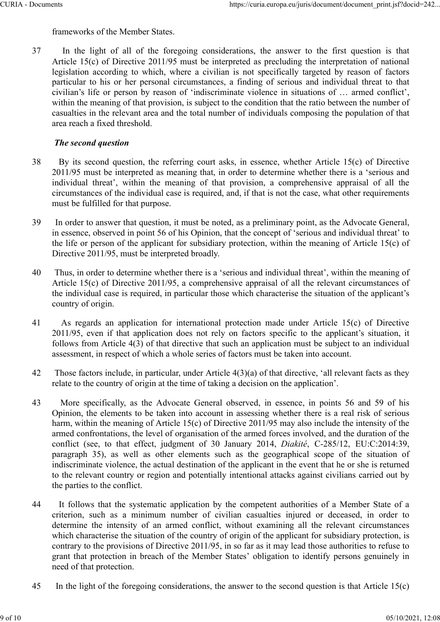frameworks of the Member States.

37 In the light of all of the foregoing considerations, the answer to the first question is that Article 15(c) of Directive 2011/95 must be interpreted as precluding the interpretation of national legislation according to Article 15(c) of Directive 2011/95 must be interpreted as precluding the interpretation of national legislation according to which, where a civilian is not specifically targeted by reason of factors particular to his or her personal circumstances, a finding of serious and individual threat to that civilian's life or person by reason of 'indiscriminate violence in situations of … armed conflict', within the meaning of that provision, is subject to the condition that the ratio between the number of casualties in the relevant area and the total number of individuals composing the population of that area reach a fixed threshold. thres://curia.europa.eu/juris/document/document/inisiy?/coid=242...<br>
In the light of all of the foregoing considerations, the answer to the first question is that<br>
Article 15(e) of Directive 2011/95 must be interpreted as

## The second question

- 38 By its second question, the referring court asks, in essence, whether Article 15(c) of Directive 2011/95 must be interpreted as meaning that, in order to determine whether there is a 'serious and circumstances of the individual case is required, and, if that is not the case, what other requirements must be fulfilled for that purpose.
- 39 In order to answer that question, it must be noted, as a preliminary point, as the Advocate General, in essence, observed in point 56 of his Opinion, that the concept of 'serious and individual threat' to the life or person of the applicant for subsidiary protection, within the meaning of Article 15(c) of Directive 2011/95, must be interpreted broadly.
- 40 Thus, in order to determine whether there is a 'serious and individual threat', within the meaning of Article 15(c) of Directive 2011/95, a comprehensive appraisal of all the relevant circumstances of the individual case is required, in particular those which characterise the situation of the applicant's country of origin.
- 41 As regards an application for international protection made under Article 15(c) of Directive 2011/95, even if that application does not rely on factors specific to the applicant's situation, it follows from Article 4(3) of that directive that such an application must be subject to an individual assessment, in respect of which a whole series of factors must be taken into account.
- 42 Those factors include, in particular, under Article 4(3)(a) of that directive, 'all relevant facts as they relate to the country of origin at the time of taking a decision on the application'.
- 43 More specifically, as the Advocate General observed, in essence, in points 56 and 59 of his Opinion, the elements to be taken into account in assessing whether there is a real risk of serious harm, within the meaning of Article 15(c) of Directive 2011/95 may also include the intensity of the armed confrontations, the level of organisation of the armed forces involved, and the duration of the Directive 2011/95, must be interpreted broadly.<br>
Thus, in order to determine whether there is a 'scrious and individual threat', within the meaning of<br>
Article 15(c) of Directive 2011/95, a comprehensive appraisal of all Thus, in order to determine whether there is a 'serious and individual threat', within the meaning of Article 15(c) of Directive 2011/95, a comprehensive appraisal of all the relevant circumstances of the individual case indiscriminate violence, the actual destination of the applicant in the event that he or she is returned to the relevant country or region and potentially intentional attacks against civilians carried out by the parties to the conflict. Frace that is equilibration for internal protection mate under three times that is contract to the proposition, it follows from Article 4(3) of that directive that such an application must be subject to an individual asse
- 44 It follows that the systematic application by the competent authorities of a Member State of a determine the intensity of an armed conflict, without examining all the relevant circumstances which characterise the situation of the country of origin of the applicant for subsidiary protection, is contrary to the provisions of Directive 2011/95, in so far as it may lead those authorities to refuse to grant that protection in breach of the Member States' obligation to identify persons genuinely in need of that protection.
- 45 In the light of the foregoing considerations, the answer to the second question is that Article 15(c)